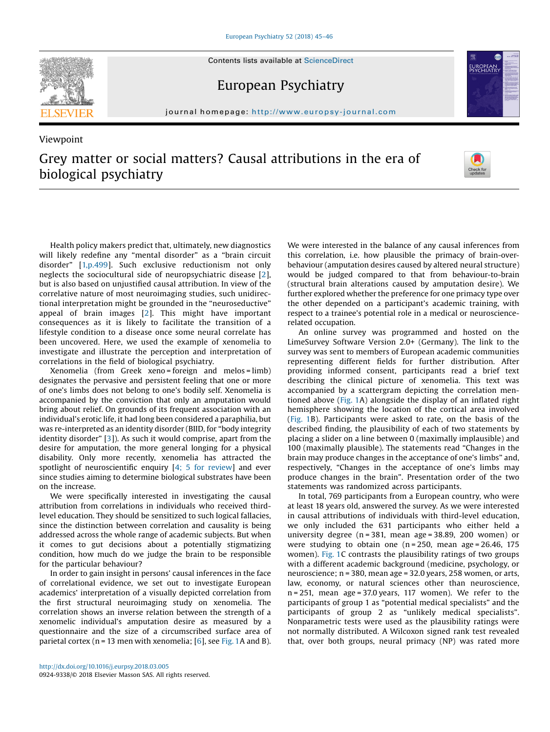

Viewpoint

European Psychiatry



journal homepage: <http://www.europsy-journal.com>/ $\mathcal{L}$ 

# Grey matter or social matters? Causal attributions in the era of biological psychiatry



Health policy makers predict that, ultimately, new diagnostics will likely redefine any "mental disorder" as a "brain circuit disorder" [[1,p.499](#page-1-0)]. Such exclusive reductionism not only neglects the sociocultural side of neuropsychiatric disease [\[2](#page-1-0)], but is also based on unjustified causal attribution. In view of the correlative nature of most neuroimaging studies, such unidirectional interpretation might be grounded in the "neuroseductive" appeal of brain images [[2](#page-1-0)]. This might have important consequences as it is likely to facilitate the transition of a lifestyle condition to a disease once some neural correlate has been uncovered. Here, we used the example of xenomelia to investigate and illustrate the perception and interpretation of correlations in the field of biological psychiatry.

Xenomelia (from Greek xeno = foreign and melos = limb) designates the pervasive and persistent feeling that one or more of one's limbs does not belong to one's bodily self. Xenomelia is accompanied by the conviction that only an amputation would bring about relief. On grounds of its frequent association with an individual's erotic life, it had long been considered a paraphilia, but was re-interpreted as an identity disorder (BIID, for "body integrity identity disorder" [[3\]](#page-1-0)). As such it would comprise, apart from the desire for amputation, the more general longing for a physical disability. Only more recently, xenomelia has attracted the spotlight of neuroscientific enquiry [4; 5 for [review](#page-1-0)] and ever since studies aiming to determine biological substrates have been on the increase.

We were specifically interested in investigating the causal attribution from correlations in individuals who received thirdlevel education. They should be sensitized to such logical fallacies, since the distinction between correlation and causality is being addressed across the whole range of academic subjects. But when it comes to gut decisions about a potentially stigmatizing condition, how much do we judge the brain to be responsible for the particular behaviour?

In order to gain insight in persons' causal inferences in the face of correlational evidence, we set out to investigate European academics' interpretation of a visually depicted correlation from the first structural neuroimaging study on xenomelia. The correlation shows an inverse relation between the strength of a xenomelic individual's amputation desire as measured by a questionnaire and the size of a circumscribed surface area of parietal cortex ( $n = 13$  men with xenomelia; [\[6](#page-1-0)], see [Fig.](#page-1-0) 1A and B). We were interested in the balance of any causal inferences from this correlation, i.e. how plausible the primacy of brain-overbehaviour (amputation desires caused by altered neural structure) would be judged compared to that from behaviour-to-brain (structural brain alterations caused by amputation desire). We further explored whether the preference for one primacy type over the other depended on a participant's academic training, with respect to a trainee's potential role in a medical or neurosciencerelated occupation.

An online survey was programmed and hosted on the LimeSurvey Software Version 2.0+ (Germany). The link to the survey was sent to members of European academic communities representing different fields for further distribution. After providing informed consent, participants read a brief text describing the clinical picture of xenomelia. This text was accompanied by a scattergram depicting the correlation mentioned above ([Fig.](#page-1-0) 1A) alongside the display of an inflated right hemisphere showing the location of the cortical area involved ([Fig.](#page-1-0) 1B). Participants were asked to rate, on the basis of the described finding, the plausibility of each of two statements by placing a slider on a line between 0 (maximally implausible) and 100 (maximally plausible). The statements read "Changes in the brain may produce changes in the acceptance of one's limbs" and, respectively, "Changes in the acceptance of one's limbs may produce changes in the brain". Presentation order of the two statements was randomized across participants.

In total, 769 participants from a European country, who were at least 18 years old, answered the survey. As we were interested in causal attributions of individuals with third-level education, we only included the 631 participants who either held a university degree (n = 381, mean age = 38.89, 200 women) or were studying to obtain one  $(n = 250,$  mean age = 26.46, 175 women). [Fig.](#page-1-0) 1C contrasts the plausibility ratings of two groups with a different academic background (medicine, psychology, or neuroscience; n = 380, mean age = 32.0 years, 258 women, or arts, law, economy, or natural sciences other than neuroscience,  $n = 251$ , mean age = 37.0 years, 117 women). We refer to the participants of group 1 as "potential medical specialists" and the participants of group 2 as "unlikely medical specialists". Nonparametric tests were used as the plausibility ratings were not normally distributed. A Wilcoxon signed rank test revealed that, over both groups, neural primacy (NP) was rated more